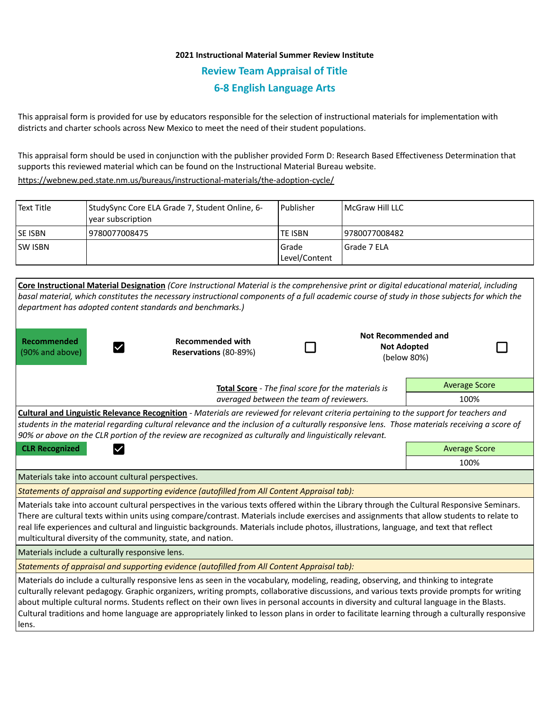## **2021 Instructional Material Summer Review Institute Review Team Appraisal of Title 6-8 English Language Arts**

This appraisal form is provided for use by educators responsible for the selection of instructional materials for implementation with districts and charter schools across New Mexico to meet the need of their student populations.

This appraisal form should be used in conjunction with the publisher provided Form D: Research Based Effectiveness Determination that supports this reviewed material which can be found on the Instructional Material Bureau website.

<https://webnew.ped.state.nm.us/bureaus/instructional-materials/the-adoption-cycle/>

| Text Title     | StudySync Core ELA Grade 7, Student Online, 6-<br>vear subscription | Publisher                | l McGraw Hill LLC |
|----------------|---------------------------------------------------------------------|--------------------------|-------------------|
| <b>SE ISBN</b> | 9780077008475                                                       | <b>TE ISBN</b>           | 19780077008482    |
| <b>SW ISBN</b> |                                                                     | l Grade<br>Level/Content | Grade 7 ELA       |

| department has adopted content standards and benchmarks.)                                                                                                                                                                                                                                                                                                                                                                                                                                                                                                                                   | Core Instructional Material Designation (Core Instructional Material is the comprehensive print or digital educational material, including<br>basal material, which constitutes the necessary instructional components of a full academic course of study in those subjects for which the |                      |                                                          |                      |  |  |  |
|---------------------------------------------------------------------------------------------------------------------------------------------------------------------------------------------------------------------------------------------------------------------------------------------------------------------------------------------------------------------------------------------------------------------------------------------------------------------------------------------------------------------------------------------------------------------------------------------|-------------------------------------------------------------------------------------------------------------------------------------------------------------------------------------------------------------------------------------------------------------------------------------------|----------------------|----------------------------------------------------------|----------------------|--|--|--|
| Recommended<br>(90% and above)                                                                                                                                                                                                                                                                                                                                                                                                                                                                                                                                                              | <b>Recommended with</b><br>Reservations (80-89%)                                                                                                                                                                                                                                          |                      | Not Recommended and<br><b>Not Adopted</b><br>(below 80%) |                      |  |  |  |
| Total Score - The final score for the materials is<br>averaged between the team of reviewers.                                                                                                                                                                                                                                                                                                                                                                                                                                                                                               |                                                                                                                                                                                                                                                                                           |                      |                                                          | <b>Average Score</b> |  |  |  |
|                                                                                                                                                                                                                                                                                                                                                                                                                                                                                                                                                                                             |                                                                                                                                                                                                                                                                                           |                      |                                                          | 100%                 |  |  |  |
| <b>Cultural and Linguistic Relevance Recognition</b> - Materials are reviewed for relevant criteria pertaining to the support for teachers and<br>students in the material regarding cultural relevance and the inclusion of a culturally responsive lens. Those materials receiving a score of<br>90% or above on the CLR portion of the review are recognized as culturally and linguistically relevant.                                                                                                                                                                                  |                                                                                                                                                                                                                                                                                           |                      |                                                          |                      |  |  |  |
| <b>CLR Recognized</b><br>$\checkmark$                                                                                                                                                                                                                                                                                                                                                                                                                                                                                                                                                       |                                                                                                                                                                                                                                                                                           | <b>Average Score</b> |                                                          |                      |  |  |  |
|                                                                                                                                                                                                                                                                                                                                                                                                                                                                                                                                                                                             |                                                                                                                                                                                                                                                                                           | 100%                 |                                                          |                      |  |  |  |
| Materials take into account cultural perspectives.                                                                                                                                                                                                                                                                                                                                                                                                                                                                                                                                          |                                                                                                                                                                                                                                                                                           |                      |                                                          |                      |  |  |  |
| Statements of appraisal and supporting evidence (autofilled from All Content Appraisal tab):                                                                                                                                                                                                                                                                                                                                                                                                                                                                                                |                                                                                                                                                                                                                                                                                           |                      |                                                          |                      |  |  |  |
| Materials take into account cultural perspectives in the various texts offered within the Library through the Cultural Responsive Seminars.<br>There are cultural texts within units using compare/contrast. Materials include exercises and assignments that allow students to relate to<br>real life experiences and cultural and linguistic backgrounds. Materials include photos, illustrations, language, and text that reflect<br>multicultural diversity of the community, state, and nation.                                                                                        |                                                                                                                                                                                                                                                                                           |                      |                                                          |                      |  |  |  |
| Materials include a culturally responsive lens.                                                                                                                                                                                                                                                                                                                                                                                                                                                                                                                                             |                                                                                                                                                                                                                                                                                           |                      |                                                          |                      |  |  |  |
| Statements of appraisal and supporting evidence (autofilled from All Content Appraisal tab):                                                                                                                                                                                                                                                                                                                                                                                                                                                                                                |                                                                                                                                                                                                                                                                                           |                      |                                                          |                      |  |  |  |
| Materials do include a culturally responsive lens as seen in the vocabulary, modeling, reading, observing, and thinking to integrate<br>culturally relevant pedagogy. Graphic organizers, writing prompts, collaborative discussions, and various texts provide prompts for writing<br>about multiple cultural norms. Students reflect on their own lives in personal accounts in diversity and cultural language in the Blasts.<br>Cultural traditions and home language are appropriately linked to lesson plans in order to facilitate learning through a culturally responsive<br>lens. |                                                                                                                                                                                                                                                                                           |                      |                                                          |                      |  |  |  |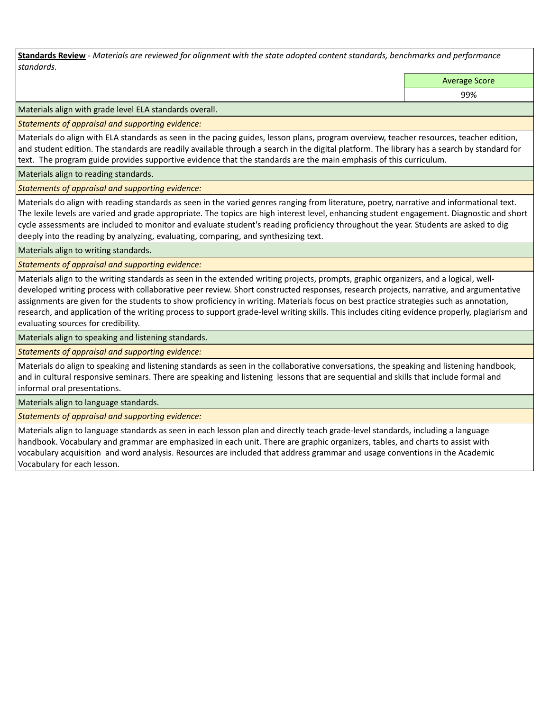**Standards Review** *- Materials are reviewed for alignment with the state adopted content standards, benchmarks and performance standards.*

Average Score

99%

Materials align with grade level ELA standards overall.

*Statements of appraisal and supporting evidence:* 

Materials do align with ELA standards as seen in the pacing guides, lesson plans, program overview, teacher resources, teacher edition, and student edition. The standards are readily available through a search in the digital platform. The library has a search by standard for text. The program guide provides supportive evidence that the standards are the main emphasis of this curriculum.

Materials align to reading standards.

*Statements of appraisal and supporting evidence:* 

Materials do align with reading standards as seen in the varied genres ranging from literature, poetry, narrative and informational text. The lexile levels are varied and grade appropriate. The topics are high interest level, enhancing student engagement. Diagnostic and short cycle assessments are included to monitor and evaluate student's reading proficiency throughout the year. Students are asked to dig deeply into the reading by analyzing, evaluating, comparing, and synthesizing text.

Materials align to writing standards.

*Statements of appraisal and supporting evidence:* 

Materials align to the writing standards as seen in the extended writing projects, prompts, graphic organizers, and a logical, welldeveloped writing process with collaborative peer review. Short constructed responses, research projects, narrative, and argumentative assignments are given for the students to show proficiency in writing. Materials focus on best practice strategies such as annotation, research, and application of the writing process to support grade-level writing skills. This includes citing evidence properly, plagiarism and evaluating sources for credibility.

Materials align to speaking and listening standards.

*Statements of appraisal and supporting evidence:* 

Materials do align to speaking and listening standards as seen in the collaborative conversations, the speaking and listening handbook, and in cultural responsive seminars. There are speaking and listening lessons that are sequential and skills that include formal and informal oral presentations.

Materials align to language standards.

*Statements of appraisal and supporting evidence:* 

Materials align to language standards as seen in each lesson plan and directly teach grade-level standards, including a language handbook. Vocabulary and grammar are emphasized in each unit. There are graphic organizers, tables, and charts to assist with vocabulary acquisition and word analysis. Resources are included that address grammar and usage conventions in the Academic Vocabulary for each lesson.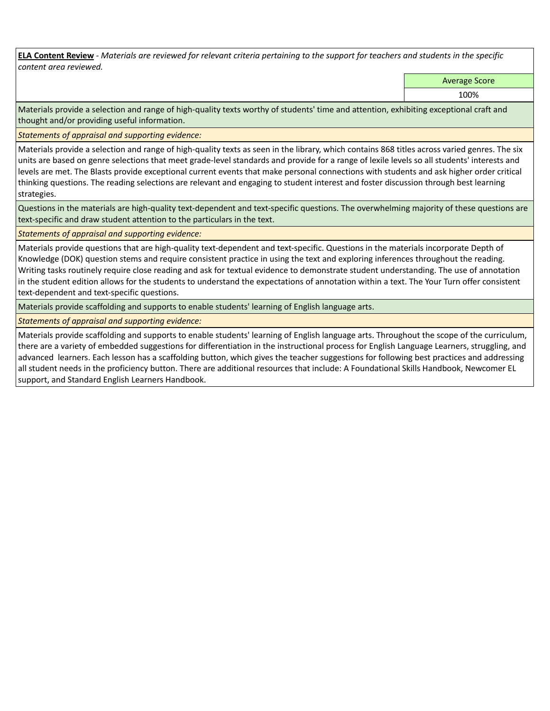**ELA Content Review** *- Materials are reviewed for relevant criteria pertaining to the support for teachers and students in the specific content area reviewed.*

Average Score

100%

Materials provide a selection and range of high-quality texts worthy of students' time and attention, exhibiting exceptional craft and thought and/or providing useful information.

*Statements of appraisal and supporting evidence:* 

Materials provide a selection and range of high-quality texts as seen in the library, which contains 868 titles across varied genres. The six units are based on genre selections that meet grade-level standards and provide for a range of lexile levels so all students' interests and levels are met. The Blasts provide exceptional current events that make personal connections with students and ask higher order critical thinking questions. The reading selections are relevant and engaging to student interest and foster discussion through best learning strategies.

Questions in the materials are high-quality text-dependent and text-specific questions. The overwhelming majority of these questions are text-specific and draw student attention to the particulars in the text.

*Statements of appraisal and supporting evidence:* 

Materials provide questions that are high-quality text-dependent and text-specific. Questions in the materials incorporate Depth of Knowledge (DOK) question stems and require consistent practice in using the text and exploring inferences throughout the reading. Writing tasks routinely require close reading and ask for textual evidence to demonstrate student understanding. The use of annotation in the student edition allows for the students to understand the expectations of annotation within a text. The Your Turn offer consistent text-dependent and text-specific questions.

Materials provide scaffolding and supports to enable students' learning of English language arts.

*Statements of appraisal and supporting evidence:* 

Materials provide scaffolding and supports to enable students' learning of English language arts. Throughout the scope of the curriculum, there are a variety of embedded suggestions for differentiation in the instructional process for English Language Learners, struggling, and advanced learners. Each lesson has a scaffolding button, which gives the teacher suggestions for following best practices and addressing all student needs in the proficiency button. There are additional resources that include: A Foundational Skills Handbook, Newcomer EL support, and Standard English Learners Handbook.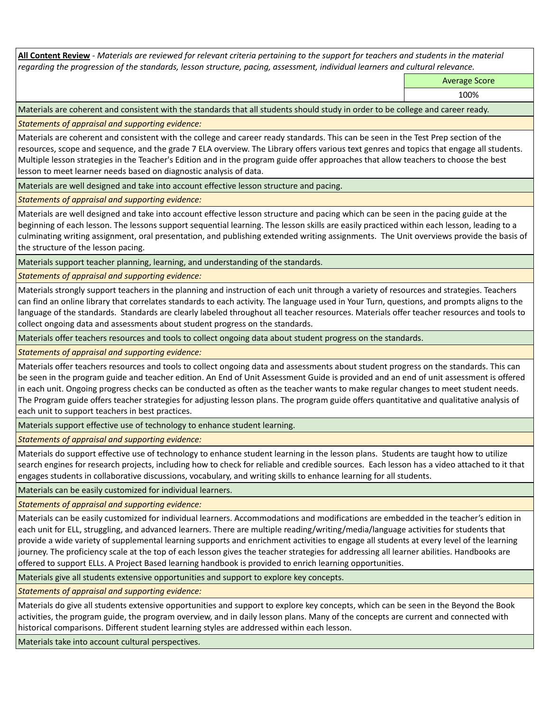**All Content Review** *- Materials are reviewed for relevant criteria pertaining to the support for teachers and students in the material regarding the progression of the standards, lesson structure, pacing, assessment, individual learners and cultural relevance.*

Average Score

100%

Materials are coherent and consistent with the standards that all students should study in order to be college and career ready.

*Statements of appraisal and supporting evidence:*

Materials are coherent and consistent with the college and career ready standards. This can be seen in the Test Prep section of the resources, scope and sequence, and the grade 7 ELA overview. The Library offers various text genres and topics that engage all students. Multiple lesson strategies in the Teacher's Edition and in the program guide offer approaches that allow teachers to choose the best lesson to meet learner needs based on diagnostic analysis of data.

Materials are well designed and take into account effective lesson structure and pacing.

*Statements of appraisal and supporting evidence:*

Materials are well designed and take into account effective lesson structure and pacing which can be seen in the pacing guide at the beginning of each lesson. The lessons support sequential learning. The lesson skills are easily practiced within each lesson, leading to a culminating writing assignment, oral presentation, and publishing extended writing assignments. The Unit overviews provide the basis of the structure of the lesson pacing.

Materials support teacher planning, learning, and understanding of the standards.

*Statements of appraisal and supporting evidence:*

Materials strongly support teachers in the planning and instruction of each unit through a variety of resources and strategies. Teachers can find an online library that correlates standards to each activity. The language used in Your Turn, questions, and prompts aligns to the language of the standards. Standards are clearly labeled throughout all teacher resources. Materials offer teacher resources and tools to collect ongoing data and assessments about student progress on the standards.

Materials offer teachers resources and tools to collect ongoing data about student progress on the standards.

*Statements of appraisal and supporting evidence:*

Materials offer teachers resources and tools to collect ongoing data and assessments about student progress on the standards. This can be seen in the program guide and teacher edition. An End of Unit Assessment Guide is provided and an end of unit assessment is offered in each unit. Ongoing progress checks can be conducted as often as the teacher wants to make regular changes to meet student needs. The Program guide offers teacher strategies for adjusting lesson plans. The program guide offers quantitative and qualitative analysis of each unit to support teachers in best practices.

Materials support effective use of technology to enhance student learning.

*Statements of appraisal and supporting evidence:*

Materials do support effective use of technology to enhance student learning in the lesson plans. Students are taught how to utilize search engines for research projects, including how to check for reliable and credible sources. Each lesson has a video attached to it that engages students in collaborative discussions, vocabulary, and writing skills to enhance learning for all students.

Materials can be easily customized for individual learners.

*Statements of appraisal and supporting evidence:* 

Materials can be easily customized for individual learners. Accommodations and modifications are embedded in the teacher's edition in each unit for ELL, struggling, and advanced learners. There are multiple reading/writing/media/language activities for students that provide a wide variety of supplemental learning supports and enrichment activities to engage all students at every level of the learning journey. The proficiency scale at the top of each lesson gives the teacher strategies for addressing all learner abilities. Handbooks are offered to support ELLs. A Project Based learning handbook is provided to enrich learning opportunities.

Materials give all students extensive opportunities and support to explore key concepts.

*Statements of appraisal and supporting evidence:*

Materials do give all students extensive opportunities and support to explore key concepts, which can be seen in the Beyond the Book activities, the program guide, the program overview, and in daily lesson plans. Many of the concepts are current and connected with historical comparisons. Different student learning styles are addressed within each lesson.

Materials take into account cultural perspectives.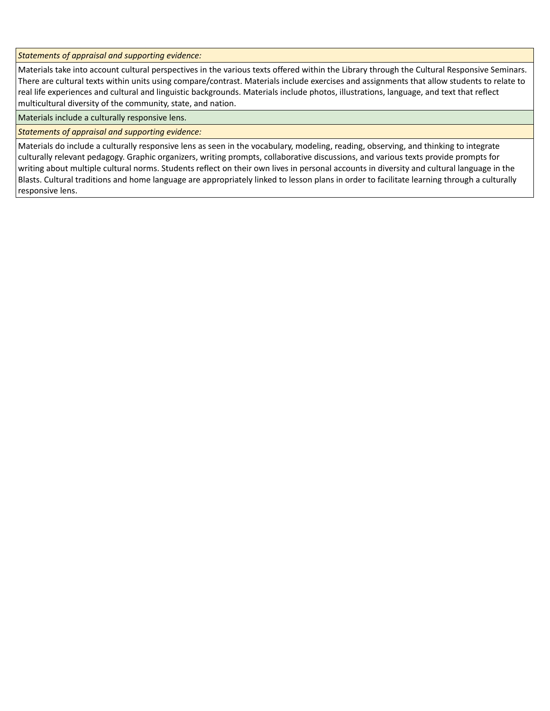*Statements of appraisal and supporting evidence:*

Materials take into account cultural perspectives in the various texts offered within the Library through the Cultural Responsive Seminars. There are cultural texts within units using compare/contrast. Materials include exercises and assignments that allow students to relate to real life experiences and cultural and linguistic backgrounds. Materials include photos, illustrations, language, and text that reflect multicultural diversity of the community, state, and nation.

Materials include a culturally responsive lens.

*Statements of appraisal and supporting evidence:*

Materials do include a culturally responsive lens as seen in the vocabulary, modeling, reading, observing, and thinking to integrate culturally relevant pedagogy. Graphic organizers, writing prompts, collaborative discussions, and various texts provide prompts for writing about multiple cultural norms. Students reflect on their own lives in personal accounts in diversity and cultural language in the Blasts. Cultural traditions and home language are appropriately linked to lesson plans in order to facilitate learning through a culturally responsive lens.